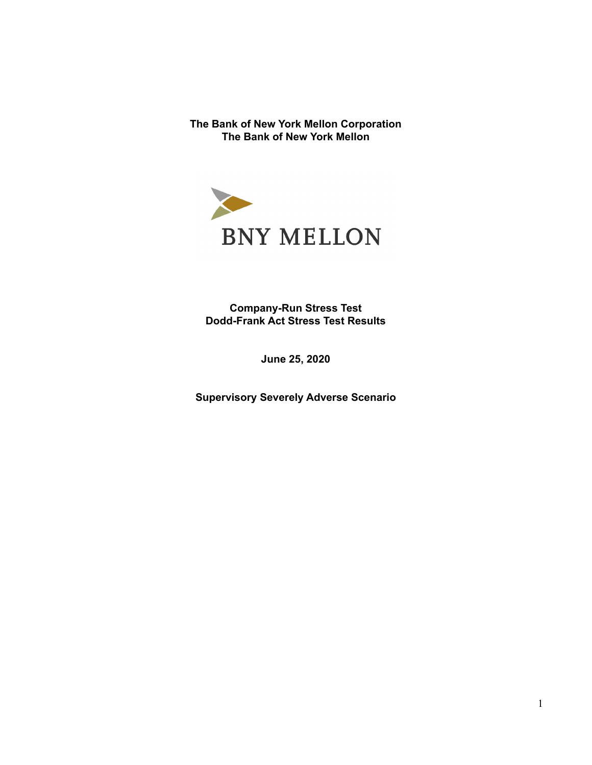**The Bank of New York Mellon Corporation The Bank of New York Mellon**



**Company-Run Stress Test Dodd-Frank Act Stress Test Results**

**June 25, 2020**

**Supervisory Severely Adverse Scenario**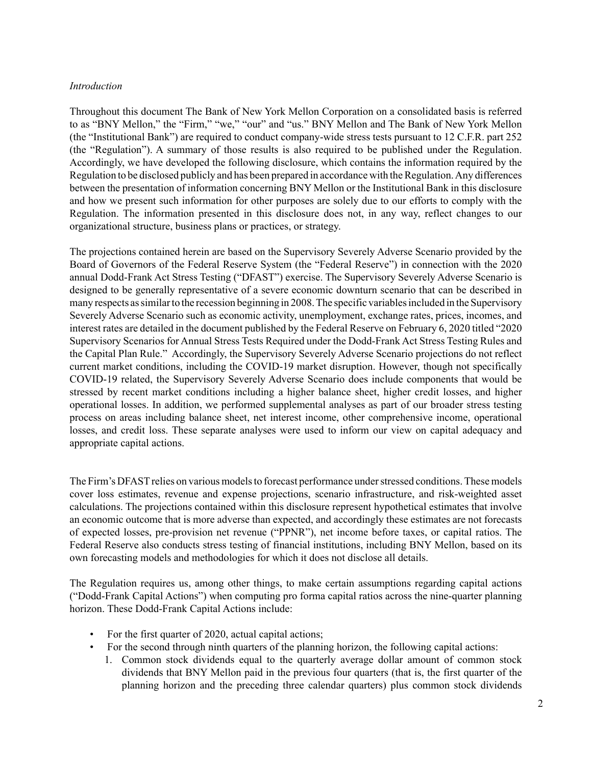### *Introduction*

Throughout this document The Bank of New York Mellon Corporation on a consolidated basis is referred to as "BNY Mellon," the "Firm," "we," "our" and "us." BNY Mellon and The Bank of New York Mellon (the "Institutional Bank") are required to conduct company-wide stress tests pursuant to 12 C.F.R. part 252 (the "Regulation"). A summary of those results is also required to be published under the Regulation. Accordingly, we have developed the following disclosure, which contains the information required by the Regulation to be disclosed publicly and has been prepared in accordance with the Regulation. Any differences between the presentation of information concerning BNY Mellon or the Institutional Bank in this disclosure and how we present such information for other purposes are solely due to our efforts to comply with the Regulation. The information presented in this disclosure does not, in any way, reflect changes to our organizational structure, business plans or practices, or strategy.

The projections contained herein are based on the Supervisory Severely Adverse Scenario provided by the Board of Governors of the Federal Reserve System (the "Federal Reserve") in connection with the 2020 annual Dodd-Frank Act Stress Testing ("DFAST") exercise. The Supervisory Severely Adverse Scenario is designed to be generally representative of a severe economic downturn scenario that can be described in many respects as similar to the recession beginning in 2008. The specific variables included in the Supervisory Severely Adverse Scenario such as economic activity, unemployment, exchange rates, prices, incomes, and interest rates are detailed in the document published by the Federal Reserve on February 6, 2020 titled "2020 Supervisory Scenarios for Annual Stress Tests Required under the Dodd-Frank Act Stress Testing Rules and the Capital Plan Rule." Accordingly, the Supervisory Severely Adverse Scenario projections do not reflect current market conditions, including the COVID-19 market disruption. However, though not specifically COVID-19 related, the Supervisory Severely Adverse Scenario does include components that would be stressed by recent market conditions including a higher balance sheet, higher credit losses, and higher operational losses. In addition, we performed supplemental analyses as part of our broader stress testing process on areas including balance sheet, net interest income, other comprehensive income, operational losses, and credit loss. These separate analyses were used to inform our view on capital adequacy and appropriate capital actions.

The Firm's DFAST relies on various models to forecast performance under stressed conditions. These models cover loss estimates, revenue and expense projections, scenario infrastructure, and risk-weighted asset calculations. The projections contained within this disclosure represent hypothetical estimates that involve an economic outcome that is more adverse than expected, and accordingly these estimates are not forecasts of expected losses, pre-provision net revenue ("PPNR"), net income before taxes, or capital ratios. The Federal Reserve also conducts stress testing of financial institutions, including BNY Mellon, based on its own forecasting models and methodologies for which it does not disclose all details.

The Regulation requires us, among other things, to make certain assumptions regarding capital actions ("Dodd-Frank Capital Actions") when computing pro forma capital ratios across the nine-quarter planning horizon. These Dodd-Frank Capital Actions include:

- For the first quarter of 2020, actual capital actions;
- For the second through ninth quarters of the planning horizon, the following capital actions:
	- 1. Common stock dividends equal to the quarterly average dollar amount of common stock dividends that BNY Mellon paid in the previous four quarters (that is, the first quarter of the planning horizon and the preceding three calendar quarters) plus common stock dividends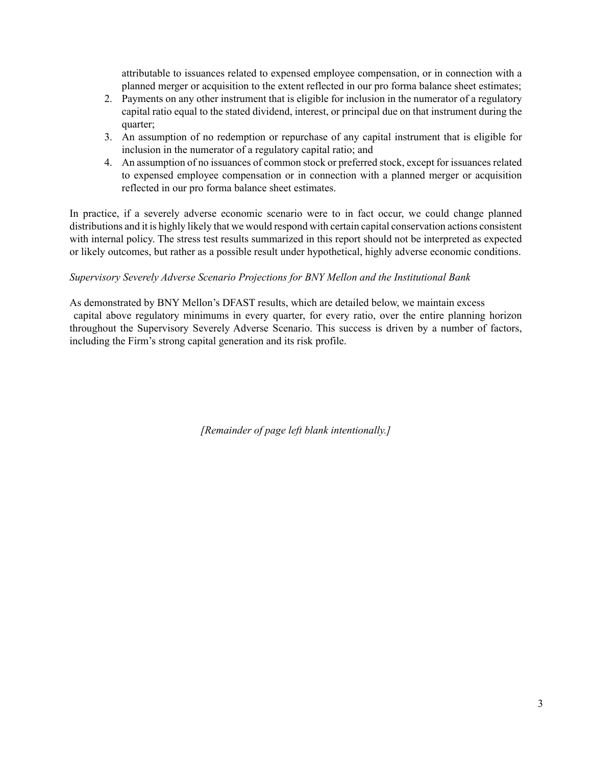attributable to issuances related to expensed employee compensation, or in connection with a planned merger or acquisition to the extent reflected in our pro forma balance sheet estimates;

- 2. Payments on any other instrument that is eligible for inclusion in the numerator of a regulatory capital ratio equal to the stated dividend, interest, or principal due on that instrument during the quarter;
- 3. An assumption of no redemption or repurchase of any capital instrument that is eligible for inclusion in the numerator of a regulatory capital ratio; and
- 4. An assumption of no issuances of common stock or preferred stock, except for issuances related to expensed employee compensation or in connection with a planned merger or acquisition reflected in our pro forma balance sheet estimates.

In practice, if a severely adverse economic scenario were to in fact occur, we could change planned distributions and it is highly likely that we would respond with certain capital conservation actions consistent with internal policy. The stress test results summarized in this report should not be interpreted as expected or likely outcomes, but rather as a possible result under hypothetical, highly adverse economic conditions.

# *Supervisory Severely Adverse Scenario Projections for BNY Mellon and the Institutional Bank*

As demonstrated by BNY Mellon's DFAST results, which are detailed below, we maintain excess capital above regulatory minimums in every quarter, for every ratio, over the entire planning horizon throughout the Supervisory Severely Adverse Scenario. This success is driven by a number of factors, including the Firm's strong capital generation and its risk profile.

*[Remainder of page left blank intentionally.]*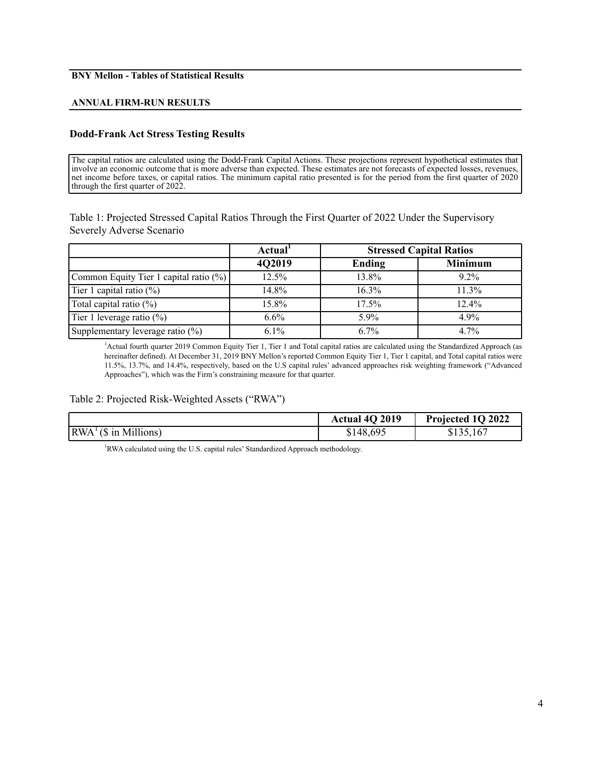#### **BNY Mellon - Tables of Statistical Results**

#### **ANNUAL FIRM-RUN RESULTS**

#### **Dodd-Frank Act Stress Testing Results**

The capital ratios are calculated using the Dodd-Frank Capital Actions. These projections represent hypothetical estimates that involve an economic outcome that is more adverse than expected. These estimates are not forecasts of expected losses, revenues, net income before taxes, or capital ratios. The minimum capital ratio presented is for the period from the first quarter of 2020 through the first quarter of 2022.

Table 1: Projected Stressed Capital Ratios Through the First Quarter of 2022 Under the Supervisory Severely Adverse Scenario

|                                        | Actual <sup>1</sup> | <b>Stressed Capital Ratios</b> |                |
|----------------------------------------|---------------------|--------------------------------|----------------|
|                                        | 4Q2019              | Ending                         | <b>Minimum</b> |
| Common Equity Tier 1 capital ratio (%) | 12.5%               | 13.8%                          | $9.2\%$        |
| Tier 1 capital ratio $(\%)$            | 14.8%               | $16.3\%$                       | 11.3%          |
| Total capital ratio $(\%)$             | 15.8%               | 17.5%                          | 12.4%          |
| Tier 1 leverage ratio $(\%)$           | $6.6\%$             | $5.9\%$                        | $4.9\%$        |
| Supplementary leverage ratio (%)       | $6.1\%$             | $6.7\%$                        | $4.7\%$        |

<sup>1</sup>Actual fourth quarter 2019 Common Equity Tier 1, Tier 1 and Total capital ratios are calculated using the Standardized Approach (as hereinafter defined). At December 31, 2019 BNY Mellon's reported Common Equity Tier 1, Tier 1 capital, and Total capital ratios were 11.5%, 13.7%, and 14.4%, respectively, based on the U.S capital rules' advanced approaches risk weighting framework ("Advanced Approaches"), which was the Firm's constraining measure for that quarter.

### Table 2: Projected Risk-Weighted Assets ("RWA")

|                                                  | Actual 4Q 2019 | Projected 1Q 2022 |
|--------------------------------------------------|----------------|-------------------|
| $\vert RWA^{\perp}(\$ \text{ in Millions})\vert$ | \$148,695      | \$135,167         |

<sup>1</sup>RWA calculated using the U.S. capital rules' Standardized Approach methodology.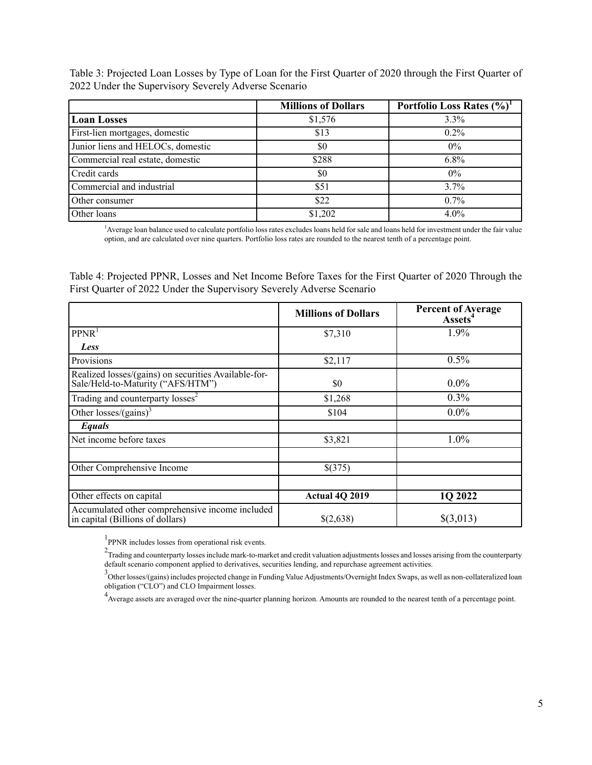Table 3: Projected Loan Losses by Type of Loan for the First Quarter of 2020 through the First Quarter of 2022 Under the Supervisory Severely Adverse Scenario

|                                   | <b>Millions of Dollars</b> | Portfolio Loss Rates (%) |
|-----------------------------------|----------------------------|--------------------------|
| <b>Loan Losses</b>                | \$1,576                    | $3.3\%$                  |
| First-lien mortgages, domestic    | \$13                       | $0.2\%$                  |
| Junior liens and HELOCs, domestic | \$0                        | $0\%$                    |
| Commercial real estate, domestic  | \$288                      | $6.8\%$                  |
| Credit cards                      | \$0                        | $0\%$                    |
| Commercial and industrial         | \$51                       | $3.7\%$                  |
| Other consumer                    | \$22                       | $0.7\%$                  |
| Other loans                       | \$1,202                    | $4.0\%$                  |

<sup>1</sup>Average loan balance used to calculate portfolio loss rates excludes loans held for sale and loans held for investment under the fair value option, and are calculated over nine quarters. Portfolio loss rates are rounded to the nearest tenth of a percentage point.

Table 4: Projected PPNR, Losses and Net Income Before Taxes for the First Quarter of 2020 Through the First Quarter of 2022 Under the Supervisory Severely Adverse Scenario

|                                                                                           | <b>Millions of Dollars</b> | <b>Percent of Average</b><br><b>Assets<sup>4</sup></b> |
|-------------------------------------------------------------------------------------------|----------------------------|--------------------------------------------------------|
| PPNR <sup>1</sup>                                                                         | \$7,310                    | 1.9%                                                   |
| Less                                                                                      |                            |                                                        |
| Provisions                                                                                | \$2,117                    | $0.5\%$                                                |
| Realized losses/(gains) on securities Available-for-<br>Sale/Held-to-Maturity ("AFS/HTM") | \$0                        | $0.0\%$                                                |
| Trading and counterparty losses <sup>2</sup>                                              | \$1,268                    | $0.3\%$                                                |
| Other losses/(gains) <sup>3</sup>                                                         | \$104                      | $0.0\%$                                                |
| Equals                                                                                    |                            |                                                        |
| Net income before taxes                                                                   | \$3,821                    | 1.0%                                                   |
|                                                                                           |                            |                                                        |
| Other Comprehensive Income                                                                | \$(375)                    |                                                        |
|                                                                                           |                            |                                                        |
| Other effects on capital                                                                  | <b>Actual 4Q 2019</b>      | 1Q 2022                                                |
| Accumulated other comprehensive income included<br>in capital (Billions of dollars)       | \$(2,638)                  | \$(3,013)                                              |

<sup>1</sup>PPNR includes losses from operational risk events.

 $2$ Trading and counterparty losses include mark-to-market and credit valuation adjustments losses and losses arising from the counterparty default scenario component applied to derivatives, securities lending, and repurchase agreement activities.

3<br>Other losses/(gains) includes projected change in Funding Value Adjustments/Overnight Index Swaps, as well as non-collateralized loan obligation ("CLO") and CLO Impairment losses.

<sup>4</sup> Average assets are averaged over the nine-quarter planning horizon. Amounts are rounded to the nearest tenth of a percentage point.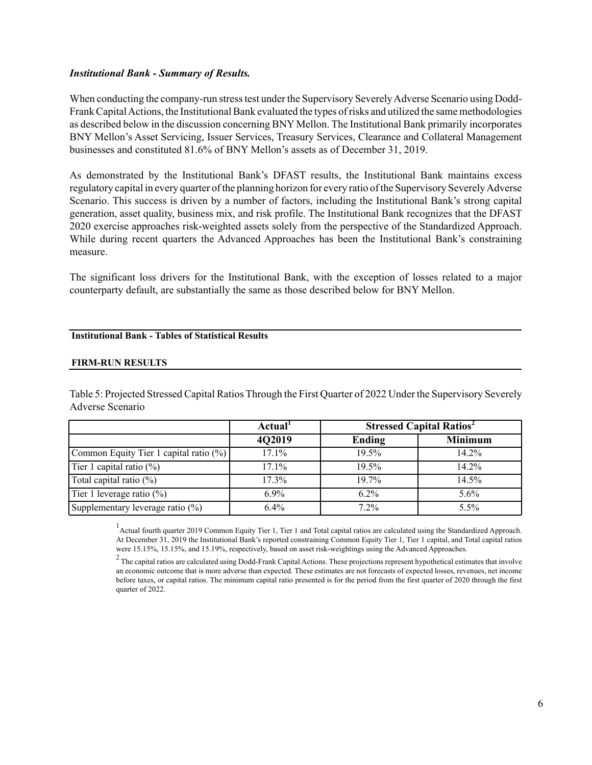### *Institutional Bank - Summary of Results.*

When conducting the company-run stress test under the Supervisory Severely Adverse Scenario using Dodd-Frank Capital Actions, the Institutional Bank evaluated the types of risks and utilized the same methodologies as described below in the discussion concerning BNY Mellon. The Institutional Bank primarily incorporates BNY Mellon's Asset Servicing, Issuer Services, Treasury Services, Clearance and Collateral Management businesses and constituted 81.6% of BNY Mellon's assets as of December 31, 2019.

As demonstrated by the Institutional Bank's DFAST results, the Institutional Bank maintains excess regulatory capital in every quarter of the planning horizon for every ratio of the Supervisory Severely Adverse Scenario. This success is driven by a number of factors, including the Institutional Bank's strong capital generation, asset quality, business mix, and risk profile. The Institutional Bank recognizes that the DFAST 2020 exercise approaches risk-weighted assets solely from the perspective of the Standardized Approach. While during recent quarters the Advanced Approaches has been the Institutional Bank's constraining measure.

The significant loss drivers for the Institutional Bank, with the exception of losses related to a major counterparty default, are substantially the same as those described below for BNY Mellon.

## **Institutional Bank - Tables of Statistical Results**

#### **FIRM-RUN RESULTS**

Table 5: Projected Stressed Capital Ratios Through the First Quarter of 2022 Under the Supervisory Severely Adverse Scenario

|                                        | Actual <sup>1</sup> | <b>Stressed Capital Ratios<sup>2</sup></b> |                |
|----------------------------------------|---------------------|--------------------------------------------|----------------|
|                                        | 4Q2019              | Ending                                     | <b>Minimum</b> |
| Common Equity Tier 1 capital ratio (%) | 17.1%               | 19.5%                                      | 14.2%          |
| Tier 1 capital ratio $(\%)$            | 17.1%               | 19.5%                                      | 14.2%          |
| Total capital ratio $(\%)$             | 17.3%               | 19.7%                                      | 14.5%          |
| Tier 1 leverage ratio $(\%)$           | $6.9\%$             | $6.2\%$                                    | 5.6%           |
| Supplementary leverage ratio (%)       | $6.4\%$             | $7.2\%$                                    | 5.5%           |

<sup>1</sup> Actual fourth quarter 2019 Common Equity Tier 1, Tier 1 and Total capital ratios are calculated using the Standardized Approach. At December 31, 2019 the Institutional Bank's reported constraining Common Equity Tier 1, Tier 1 capital, and Total capital ratios were 15.15%, 15.15%, and 15.19%, respectively, based on asset risk-weightings using the Advanced Approaches.

 $2$  The capital ratios are calculated using Dodd-Frank Capital Actions. These projections represent hypothetical estimates that involve an economic outcome that is more adverse than expected. These estimates are not forecasts of expected losses, revenues, net income before taxes, or capital ratios. The minimum capital ratio presented is for the period from the first quarter of 2020 through the first quarter of 2022.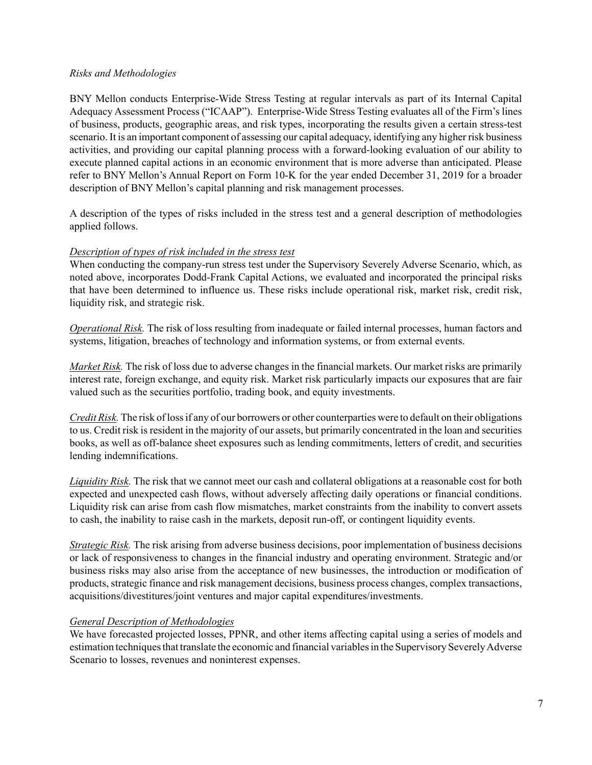## *Risks and Methodologies*

BNY Mellon conducts Enterprise-Wide Stress Testing at regular intervals as part of its Internal Capital Adequacy Assessment Process ("ICAAP"). Enterprise-Wide Stress Testing evaluates all of the Firm's lines of business, products, geographic areas, and risk types, incorporating the results given a certain stress-test scenario. It is an important component of assessing our capital adequacy, identifying any higher risk business activities, and providing our capital planning process with a forward-looking evaluation of our ability to execute planned capital actions in an economic environment that is more adverse than anticipated. Please refer to BNY Mellon's Annual Report on Form 10-K for the year ended December 31, 2019 for a broader description of BNY Mellon's capital planning and risk management processes.

A description of the types of risks included in the stress test and a general description of methodologies applied follows.

## *Description of types of risk included in the stress test*

When conducting the company-run stress test under the Supervisory Severely Adverse Scenario, which, as noted above, incorporates Dodd-Frank Capital Actions, we evaluated and incorporated the principal risks that have been determined to influence us. These risks include operational risk, market risk, credit risk, liquidity risk, and strategic risk.

*Operational Risk.* The risk of loss resulting from inadequate or failed internal processes, human factors and systems, litigation, breaches of technology and information systems, or from external events.

*Market Risk.* The risk of loss due to adverse changes in the financial markets. Our market risks are primarily interest rate, foreign exchange, and equity risk. Market risk particularly impacts our exposures that are fair valued such as the securities portfolio, trading book, and equity investments.

*Credit Risk.* The risk of loss if any of our borrowers or other counterparties were to default on their obligations to us. Credit risk is resident in the majority of our assets, but primarily concentrated in the loan and securities books, as well as off-balance sheet exposures such as lending commitments, letters of credit, and securities lending indemnifications.

*Liquidity Risk.* The risk that we cannot meet our cash and collateral obligations at a reasonable cost for both expected and unexpected cash flows, without adversely affecting daily operations or financial conditions. Liquidity risk can arise from cash flow mismatches, market constraints from the inability to convert assets to cash, the inability to raise cash in the markets, deposit run-off, or contingent liquidity events.

*Strategic Risk.* The risk arising from adverse business decisions, poor implementation of business decisions or lack of responsiveness to changes in the financial industry and operating environment. Strategic and/or business risks may also arise from the acceptance of new businesses, the introduction or modification of products, strategic finance and risk management decisions, business process changes, complex transactions, acquisitions/divestitures/joint ventures and major capital expenditures/investments.

# *General Description of Methodologies*

We have forecasted projected losses, PPNR, and other items affecting capital using a series of models and estimation techniques that translate the economic and financial variables in the Supervisory Severely Adverse Scenario to losses, revenues and noninterest expenses.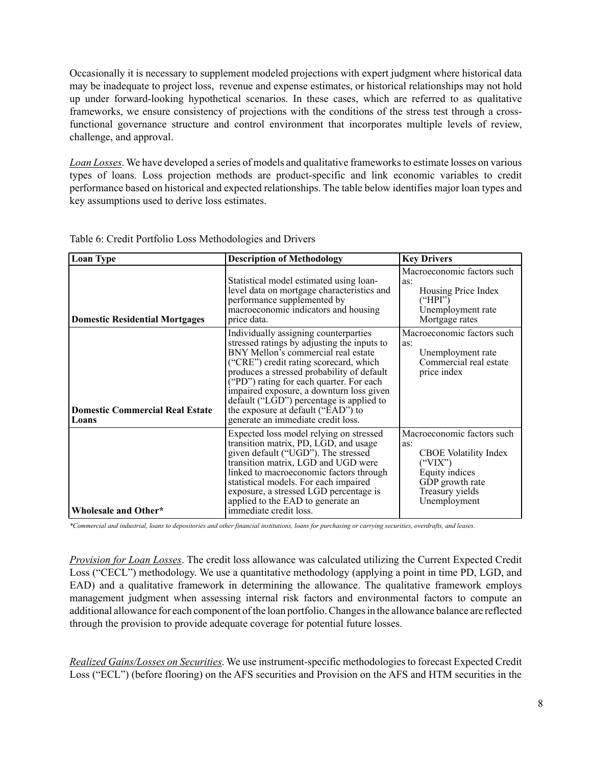Occasionally it is necessary to supplement modeled projections with expert judgment where historical data may be inadequate to project loss, revenue and expense estimates, or historical relationships may not hold up under forward-looking hypothetical scenarios. In these cases, which are referred to as qualitative frameworks, we ensure consistency of projections with the conditions of the stress test through a crossfunctional governance structure and control environment that incorporates multiple levels of review, challenge, and approval.

*Loan Losses*. We have developed a series of models and qualitative frameworks to estimate losses on various types of loans. Loss projection methods are product-specific and link economic variables to credit performance based on historical and expected relationships. The table below identifies major loan types and key assumptions used to derive loss estimates.

| <b>Loan Type</b>                                | <b>Description of Methodology</b>                                                                                                                                                                                                                                                                                                                                                                                                         | <b>Key Drivers</b>                                                                                                                                   |
|-------------------------------------------------|-------------------------------------------------------------------------------------------------------------------------------------------------------------------------------------------------------------------------------------------------------------------------------------------------------------------------------------------------------------------------------------------------------------------------------------------|------------------------------------------------------------------------------------------------------------------------------------------------------|
| <b>Domestic Residential Mortgages</b>           | Statistical model estimated using loan-<br>level data on mortgage characteristics and<br>performance supplemented by<br>macroeconomic indicators and housing<br>price data.                                                                                                                                                                                                                                                               | Macroeconomic factors such<br>as:<br>Housing Price Index<br>("HPI")<br>Unemployment rate<br>Mortgage rates                                           |
| <b>Domestic Commercial Real Estate</b><br>Loans | Individually assigning counterparties<br>stressed ratings by adjusting the inputs to<br>BNY Mellon's commercial real estate<br>("CRE") credit rating scorecard, which<br>produces a stressed probability of default<br>("PD") rating for each quarter. For each<br>impaired exposure, a downturn loss given<br>$default$ ("L $GD$ ") percentage is applied to<br>the exposure at default ("EAD") to<br>generate an immediate credit loss. | Macroeconomic factors such<br>as:<br>Unemployment rate<br>Commercial real estate<br>price index                                                      |
| Wholesale and Other*                            | Expected loss model relying on stressed<br>transition matrix, PD, LGD, and usage<br>given default ("UGD"). The stressed<br>transition matrix, LGD and UGD were<br>linked to macroeconomic factors through<br>statistical models. For each impaired<br>exposure, a stressed LGD percentage is<br>applied to the EAD to generate an<br>immediate credit loss.                                                                               | Macroeconomic factors such<br>as:<br><b>CBOE</b> Volatility Index<br>("VIX")<br>Equity indices<br>GDP growth rate<br>Treasury yields<br>Unemployment |

Table 6: Credit Portfolio Loss Methodologies and Drivers

*\*Commercial and industrial, loans to depositories and other financial institutions, loans for purchasing or carrying securities, overdrafts, and leases.*

*Provision for Loan Losses*. The credit loss allowance was calculated utilizing the Current Expected Credit Loss ("CECL") methodology. We use a quantitative methodology (applying a point in time PD, LGD, and EAD) and a qualitative framework in determining the allowance. The qualitative framework employs management judgment when assessing internal risk factors and environmental factors to compute an additional allowance for each component of the loan portfolio. Changes in the allowance balance are reflected through the provision to provide adequate coverage for potential future losses.

*Realized Gains/Losses on Securities*. We use instrument-specific methodologies to forecast Expected Credit Loss ("ECL") (before flooring) on the AFS securities and Provision on the AFS and HTM securities in the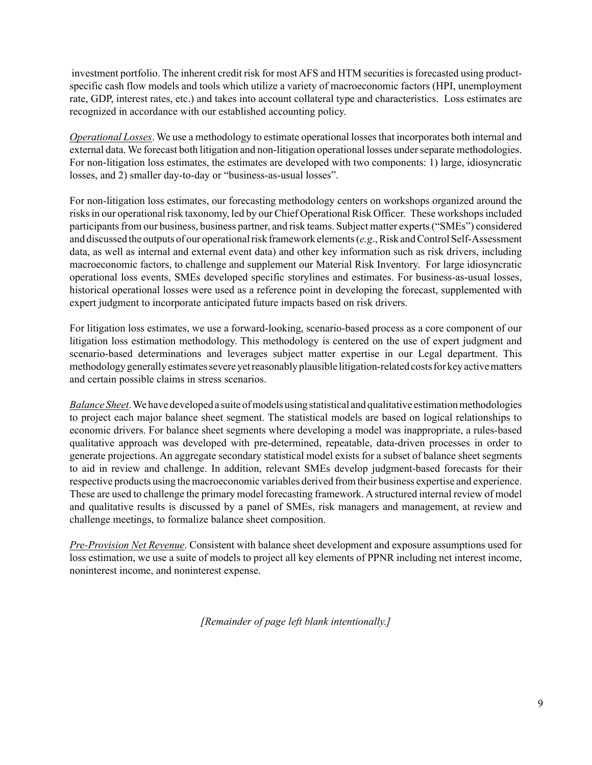investment portfolio. The inherent credit risk for most AFS and HTM securities is forecasted using productspecific cash flow models and tools which utilize a variety of macroeconomic factors (HPI, unemployment rate, GDP, interest rates, etc.) and takes into account collateral type and characteristics. Loss estimates are recognized in accordance with our established accounting policy.

*Operational Losses*. We use a methodology to estimate operational losses that incorporates both internal and external data. We forecast both litigation and non-litigation operational losses under separate methodologies. For non-litigation loss estimates, the estimates are developed with two components: 1) large, idiosyncratic losses, and 2) smaller day-to-day or "business-as-usual losses".

For non-litigation loss estimates, our forecasting methodology centers on workshops organized around the risks in our operational risk taxonomy, led by our Chief Operational Risk Officer. These workshops included participants from our business, business partner, and risk teams. Subject matter experts ("SMEs") considered and discussed the outputs of our operational risk framework elements (*e.g*., Risk and Control Self-Assessment data, as well as internal and external event data) and other key information such as risk drivers, including macroeconomic factors, to challenge and supplement our Material Risk Inventory. For large idiosyncratic operational loss events, SMEs developed specific storylines and estimates. For business-as-usual losses, historical operational losses were used as a reference point in developing the forecast, supplemented with expert judgment to incorporate anticipated future impacts based on risk drivers.

For litigation loss estimates, we use a forward-looking, scenario-based process as a core component of our litigation loss estimation methodology. This methodology is centered on the use of expert judgment and scenario-based determinations and leverages subject matter expertise in our Legal department. This methodology generally estimates severe yet reasonably plausible litigation-related costs for key active matters and certain possible claims in stress scenarios.

*Balance Sheet*. We have developed a suite of models using statistical and qualitative estimation methodologies to project each major balance sheet segment. The statistical models are based on logical relationships to economic drivers. For balance sheet segments where developing a model was inappropriate, a rules-based qualitative approach was developed with pre-determined, repeatable, data-driven processes in order to generate projections. An aggregate secondary statistical model exists for a subset of balance sheet segments to aid in review and challenge. In addition, relevant SMEs develop judgment-based forecasts for their respective products using the macroeconomic variables derived from their business expertise and experience. These are used to challenge the primary model forecasting framework. Astructured internal review of model and qualitative results is discussed by a panel of SMEs, risk managers and management, at review and challenge meetings, to formalize balance sheet composition.

*Pre-Provision Net Revenue*. Consistent with balance sheet development and exposure assumptions used for loss estimation, we use a suite of models to project all key elements of PPNR including net interest income, noninterest income, and noninterest expense.

*[Remainder of page left blank intentionally.]*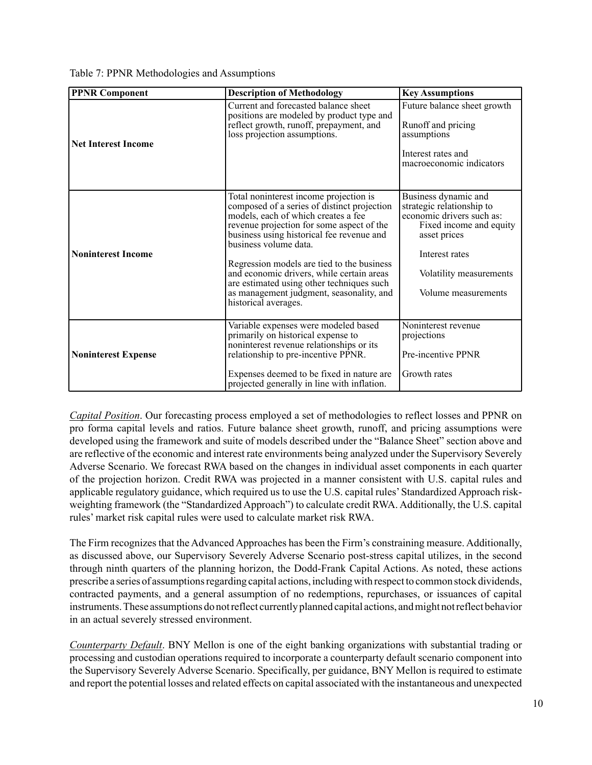| <b>PPNR Component</b>      | <b>Description of Methodology</b>                                                                                                                                                                                                                                                                                                                                                                                                                           | <b>Key Assumptions</b>                                                                                                                                                                        |
|----------------------------|-------------------------------------------------------------------------------------------------------------------------------------------------------------------------------------------------------------------------------------------------------------------------------------------------------------------------------------------------------------------------------------------------------------------------------------------------------------|-----------------------------------------------------------------------------------------------------------------------------------------------------------------------------------------------|
| <b>Net Interest Income</b> | Current and forecasted balance sheet<br>positions are modeled by product type and<br>reflect growth, runoff, prepayment, and<br>loss projection assumptions.                                                                                                                                                                                                                                                                                                | Future balance sheet growth<br>Runoff and pricing<br>assumptions<br>Interest rates and<br>macroeconomic indicators                                                                            |
| <b>Noninterest Income</b>  | Total noninterest income projection is<br>composed of a series of distinct projection<br>models, each of which creates a fee<br>revenue projection for some aspect of the<br>business using historical fee revenue and<br>business volume data.<br>Regression models are tied to the business<br>and economic drivers, while certain areas<br>are estimated using other techniques such<br>as management judgment, seasonality, and<br>historical averages. | Business dynamic and<br>strategic relationship to<br>economic drivers such as:<br>Fixed income and equity<br>asset prices<br>Interest rates<br>Volatility measurements<br>Volume measurements |
| <b>Noninterest Expense</b> | Variable expenses were modeled based<br>primarily on historical expense to<br>noninterest revenue relationships or its<br>relationship to pre-incentive PPNR.<br>Expenses deemed to be fixed in nature are<br>projected generally in line with inflation.                                                                                                                                                                                                   | Noninterest revenue<br>projections<br>Pre-incentive PPNR<br>Growth rates                                                                                                                      |

*Capital Position*. Our forecasting process employed a set of methodologies to reflect losses and PPNR on pro forma capital levels and ratios. Future balance sheet growth, runoff, and pricing assumptions were developed using the framework and suite of models described under the "Balance Sheet" section above and are reflective of the economic and interest rate environments being analyzed under the Supervisory Severely Adverse Scenario. We forecast RWA based on the changes in individual asset components in each quarter of the projection horizon. Credit RWA was projected in a manner consistent with U.S. capital rules and applicable regulatory guidance, which required us to use the U.S. capital rules'Standardized Approach riskweighting framework (the "Standardized Approach") to calculate credit RWA. Additionally, the U.S. capital rules' market risk capital rules were used to calculate market risk RWA.

The Firm recognizes that the Advanced Approaches has been the Firm's constraining measure. Additionally, as discussed above, our Supervisory Severely Adverse Scenario post-stress capital utilizes, in the second through ninth quarters of the planning horizon, the Dodd-Frank Capital Actions. As noted, these actions prescribe a series of assumptions regarding capital actions, including with respect to common stock dividends, contracted payments, and a general assumption of no redemptions, repurchases, or issuances of capital instruments. These assumptions do not reflect currently planned capital actions, and might not reflect behavior in an actual severely stressed environment.

*Counterparty Default*. BNY Mellon is one of the eight banking organizations with substantial trading or processing and custodian operations required to incorporate a counterparty default scenario component into the Supervisory Severely Adverse Scenario. Specifically, per guidance, BNY Mellon is required to estimate and report the potential losses and related effects on capital associated with the instantaneous and unexpected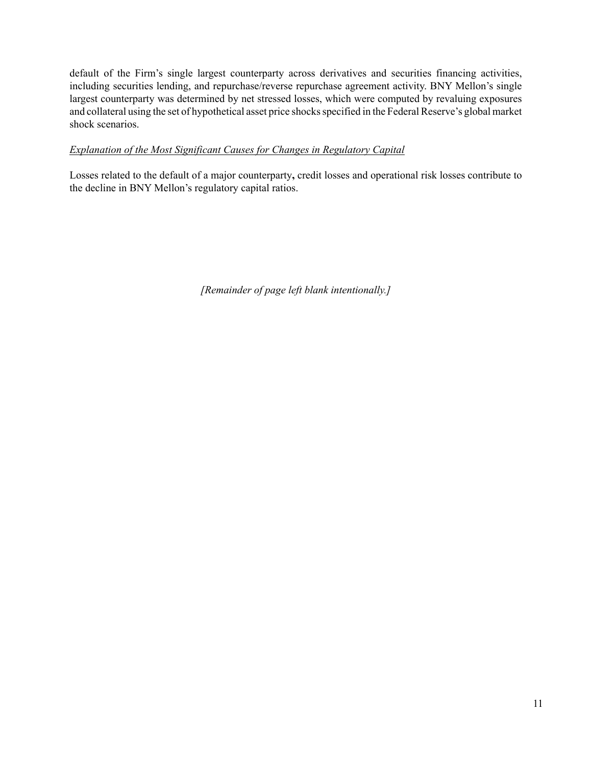default of the Firm's single largest counterparty across derivatives and securities financing activities, including securities lending, and repurchase/reverse repurchase agreement activity. BNY Mellon's single largest counterparty was determined by net stressed losses, which were computed by revaluing exposures and collateral using the set of hypothetical asset price shocks specified in the Federal Reserve's global market shock scenarios.

# *Explanation of the Most Significant Causes for Changes in Regulatory Capital*

Losses related to the default of a major counterparty**,** credit losses and operational risk losses contribute to the decline in BNY Mellon's regulatory capital ratios.

*[Remainder of page left blank intentionally.]*